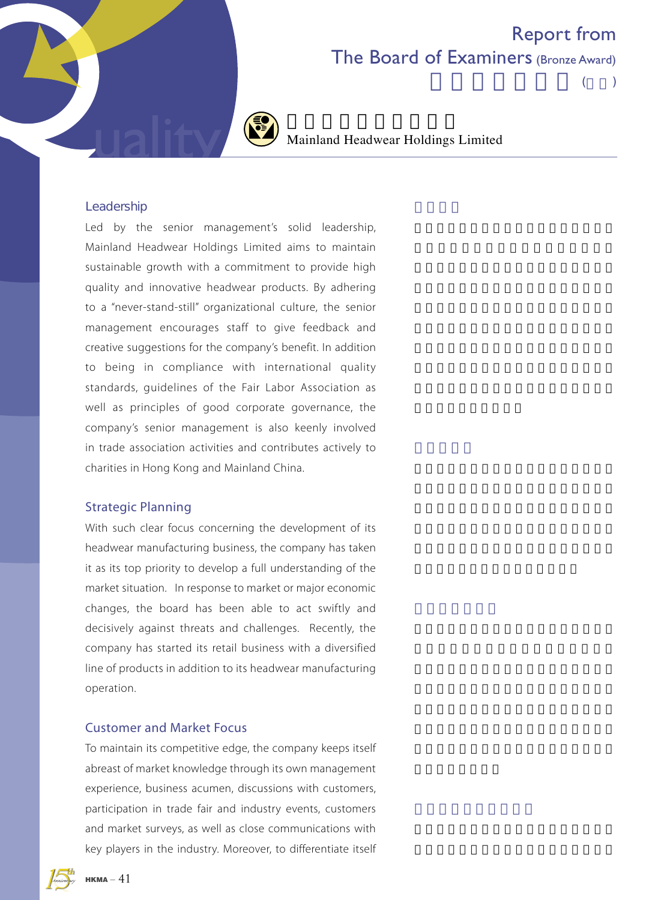## Report from The Board of Examiners (Bronze Award)

 $($ 



Mainland Headwear Holdings Limited

### Leadership

Led by the senior management's solid leadership, Mainland Headwear Holdings Limited aims to maintain sustainable growth with a commitment to provide high quality and innovative headwear products. By adhering to a "never-stand-still" organizational culture, the senior management encourages staff to give feedback and creative suggestions for the company's benefit. In addition to being in compliance with international quality standards, guidelines of the Fair Labor Association as well as principles of good corporate governance, the company's senior management is also keenly involved in trade association activities and contributes actively to charities in Hong Kong and Mainland China.

### Strategic Planning

With such clear focus concerning the development of its headwear manufacturing business, the company has taken it as its top priority to develop a full understanding of the market situation. In response to market or major economic changes, the board has been able to act swiftly and decisively against threats and challenges. Recently, the company has started its retail business with a diversified line of products in addition to its headwear manufacturing operation.

### Customer and Market Focus

To maintain its competitive edge, the company keeps itself abreast of market knowledge through its own management experience, business acumen, discussions with customers, participation in trade fair and industry events, customers and market surveys, as well as close communications with key players in the industry. Moreover, to differentiate itself

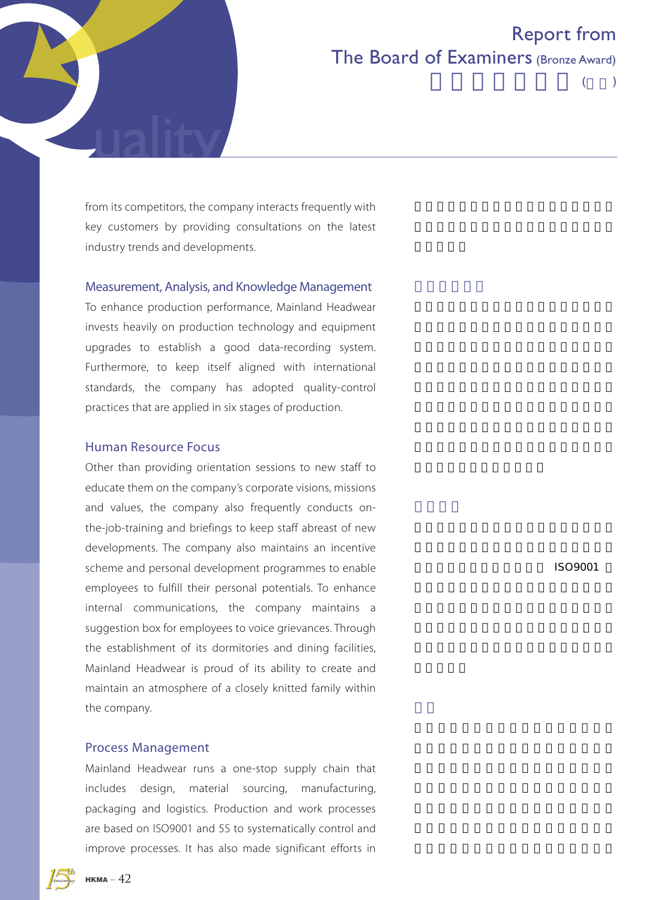

# Report from The Board of Examiners (Bronze Award)

 $($ 

from its competitors, the company interacts frequently with key customers by providing consultations on the latest industry trends and developments.

### Measurement, Analysis, and Knowledge Management

To enhance production performance, Mainland Headwear invests heavily on production technology and equipment upgrades to establish a good data-recording system. Furthermore, to keep itself aligned with international standards, the company has adopted quality-control practices that are applied in six stages of production.

### Human Resource Focus

Other than providing orientation sessions to new staff to educate them on the company's corporate visions, missions and values, the company also frequently conducts onthe-job-training and briefings to keep staff abreast of new developments. The company also maintains an incentive scheme and personal development programmes to enable employees to fulfill their personal potentials. To enhance internal communications, the company maintains a suggestion box for employees to voice grievances. Through the establishment of its dormitories and dining facilities, Mainland Headwear is proud of its ability to create and maintain an atmosphere of a closely knitted family within the company.

#### Process Management

Mainland Headwear runs a one-stop supply chain that includes design, material sourcing, manufacturing, packaging and logistics. Production and work processes are based on ISO9001 and 5S to systematically control and improve processes. It has also made significant efforts in